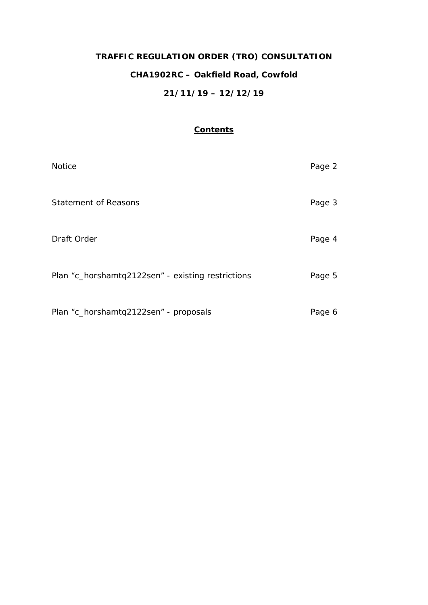# **TRAFFIC REGULATION ORDER (TRO) CONSULTATION CHA1902RC – Oakfield Road, Cowfold 21/11/19 – 12/12/19**

# **Contents**

| <b>Notice</b>                                     | Page 2 |
|---------------------------------------------------|--------|
| <b>Statement of Reasons</b>                       | Page 3 |
| Draft Order                                       | Page 4 |
| Plan "c_horshamtq2122sen" - existing restrictions | Page 5 |
| Plan "c_horshamtq2122sen" - proposals             | Page 6 |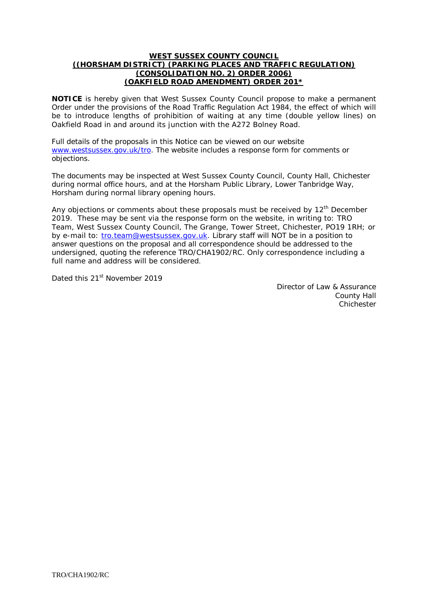#### **WEST SUSSEX COUNTY COUNCIL ((HORSHAM DISTRICT) (PARKING PLACES AND TRAFFIC REGULATION) (CONSOLIDATION NO. 2) ORDER 2006) (OAKFIELD ROAD AMENDMENT) ORDER 201\***

**NOTICE** is hereby given that West Sussex County Council propose to make a permanent Order under the provisions of the Road Traffic Regulation Act 1984, the effect of which will be to introduce lengths of prohibition of waiting at any time (double yellow lines) on Oakfield Road in and around its junction with the A272 Bolney Road.

Full details of the proposals in this Notice can be viewed on our website [www.westsussex.gov.uk/tro.](http://www.westsussex.gov.uk/tro) The website includes a response form for comments or objections.

The documents may be inspected at West Sussex County Council, County Hall, Chichester during normal office hours, and at the Horsham Public Library, Lower Tanbridge Way, Horsham during normal library opening hours.

Any objections or comments about these proposals must be received by  $12<sup>th</sup>$  December 2019. These may be sent via the response form on the website, in writing to: TRO Team, West Sussex County Council, The Grange, Tower Street, Chichester, PO19 1RH; or by e-mail to: [tro.team@westsussex.gov.uk.](mailto:tro.team@westsussex.gov.uk) Library staff will NOT be in a position to answer questions on the proposal and all correspondence should be addressed to the undersigned, quoting the reference TRO/CHA1902/RC. Only correspondence including a full name and address will be considered.

Dated this 21<sup>st</sup> November 2019

Director of Law & Assurance County Hall Chichester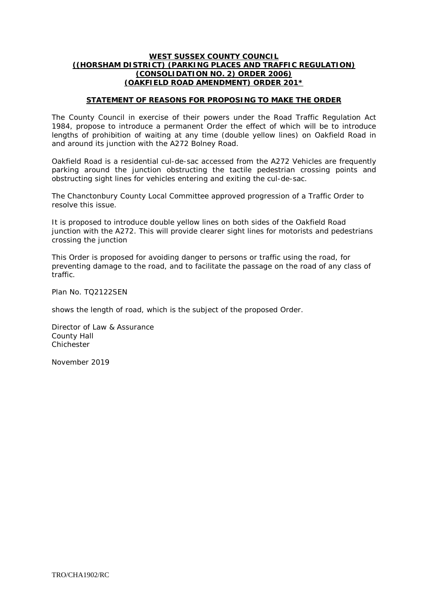### **WEST SUSSEX COUNTY COUNCIL ((HORSHAM DISTRICT) (PARKING PLACES AND TRAFFIC REGULATION) (CONSOLIDATION NO. 2) ORDER 2006) (OAKFIELD ROAD AMENDMENT) ORDER 201\***

## **STATEMENT OF REASONS FOR PROPOSING TO MAKE THE ORDER**

The County Council in exercise of their powers under the Road Traffic Regulation Act 1984, propose to introduce a permanent Order the effect of which will be to introduce lengths of prohibition of waiting at any time (double yellow lines) on Oakfield Road in and around its junction with the A272 Bolney Road.

Oakfield Road is a residential cul-de-sac accessed from the A272 Vehicles are frequently parking around the junction obstructing the tactile pedestrian crossing points and obstructing sight lines for vehicles entering and exiting the cul-de-sac.

The Chanctonbury County Local Committee approved progression of a Traffic Order to resolve this issue.

It is proposed to introduce double yellow lines on both sides of the Oakfield Road junction with the A272. This will provide clearer sight lines for motorists and pedestrians crossing the junction

This Order is proposed for avoiding danger to persons or traffic using the road, for preventing damage to the road, and to facilitate the passage on the road of any class of traffic.

Plan No. TQ2122SEN

shows the length of road, which is the subject of the proposed Order.

Director of Law & Assurance County Hall Chichester

November 2019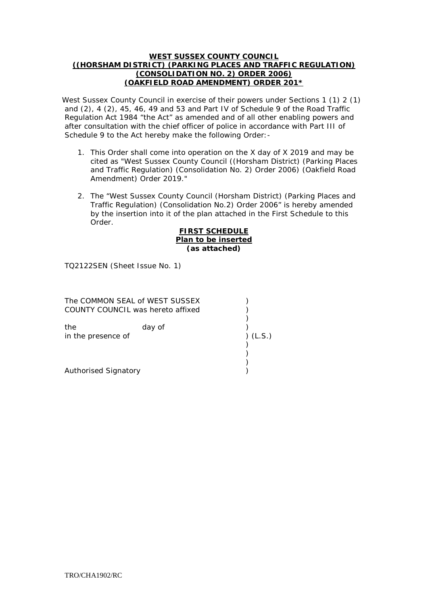### **WEST SUSSEX COUNTY COUNCIL ((HORSHAM DISTRICT) (PARKING PLACES AND TRAFFIC REGULATION) (CONSOLIDATION NO. 2) ORDER 2006) (OAKFIELD ROAD AMENDMENT) ORDER 201\***

West Sussex County Council in exercise of their powers under Sections 1 (1) 2 (1) and (2), 4 (2), 45, 46, 49 and 53 and Part IV of Schedule 9 of the Road Traffic Regulation Act 1984 "the Act" as amended and of all other enabling powers and after consultation with the chief officer of police in accordance with Part III of Schedule 9 to the Act hereby make the following Order:-

- 1. This Order shall come into operation on the X day of X 2019 and may be cited as "West Sussex County Council ((Horsham District) (Parking Places and Traffic Regulation) (Consolidation No. 2) Order 2006) (Oakfield Road Amendment) Order 2019."
- 2. The "West Sussex County Council (Horsham District) (Parking Places and Traffic Regulation) (Consolidation No.2) Order 2006" is hereby amended by the insertion into it of the plan attached in the First Schedule to this Order.

#### **FIRST SCHEDULE Plan to be inserted (as attached)**

TQ2122SEN (Sheet Issue No. 1)

| The COMMON SEAL of WEST SUSSEX<br>COUNTY COUNCIL was hereto affixed |        |        |
|---------------------------------------------------------------------|--------|--------|
| the<br>in the presence of                                           | day of | (L.S.) |
| Authorised Signatory                                                |        |        |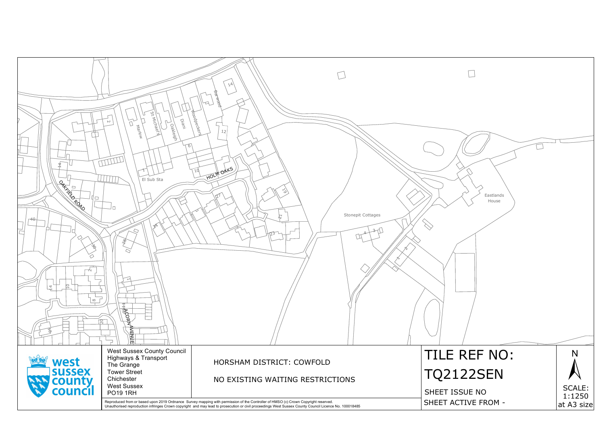